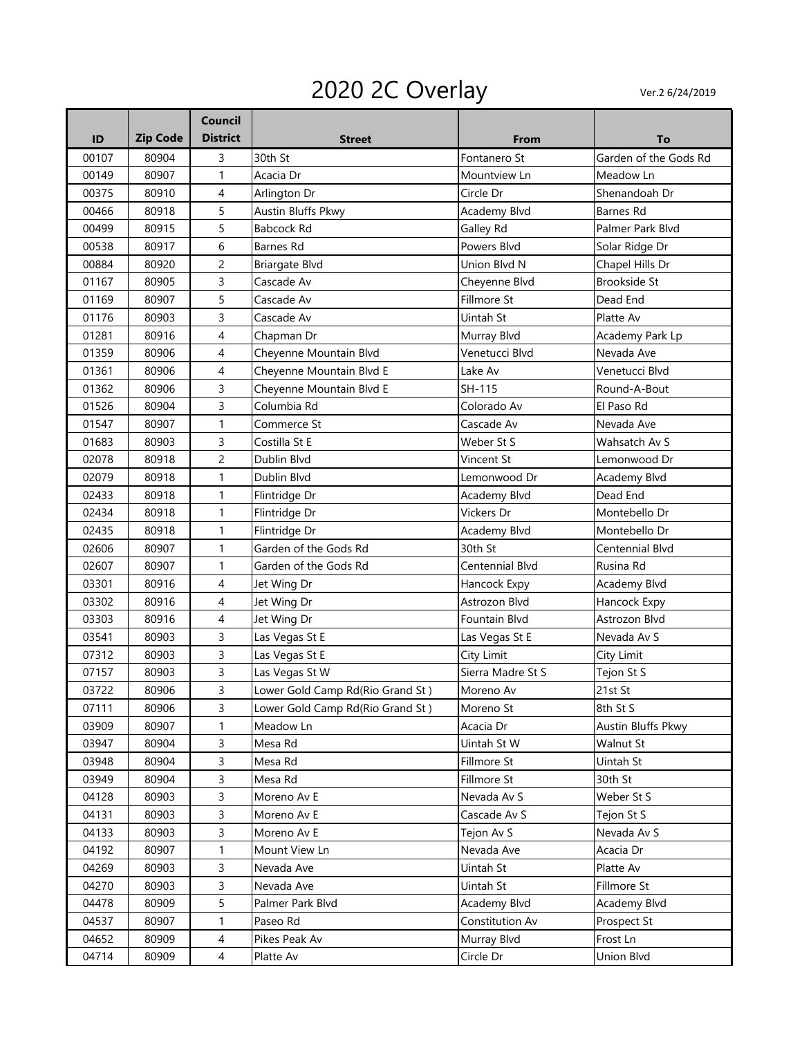## 2020 2C Overlay Ver.2 6/24/2019

| To                    |
|-----------------------|
| Garden of the Gods Rd |
| Meadow Ln             |
| Shenandoah Dr         |
| <b>Barnes Rd</b>      |
| Palmer Park Blvd      |
| Solar Ridge Dr        |
| Chapel Hills Dr       |
| Brookside St          |
| Dead End              |
| Platte Av             |
| Academy Park Lp       |
| Nevada Ave            |
| Venetucci Blvd        |
| Round-A-Bout          |
| El Paso Rd            |
| Nevada Ave            |
| Wahsatch Av S         |
| Lemonwood Dr          |
| Academy Blvd          |
| Dead End              |
| Montebello Dr         |
| Montebello Dr         |
| Centennial Blvd       |
| Rusina Rd             |
| Academy Blvd          |
| Hancock Expy          |
| Astrozon Blvd         |
| Nevada Av S           |
| City Limit            |
| Tejon St S            |
| 21st St               |
| 8th St S              |
| Austin Bluffs Pkwy    |
| Walnut St             |
| Uintah St             |
| 30th St               |
| Weber St S            |
| Tejon St S            |
| Nevada Av S           |
| Acacia Dr             |
| Platte Av             |
| Fillmore St           |
| Academy Blvd          |
| Prospect St           |
| Frost Ln              |
| Union Blvd            |
|                       |